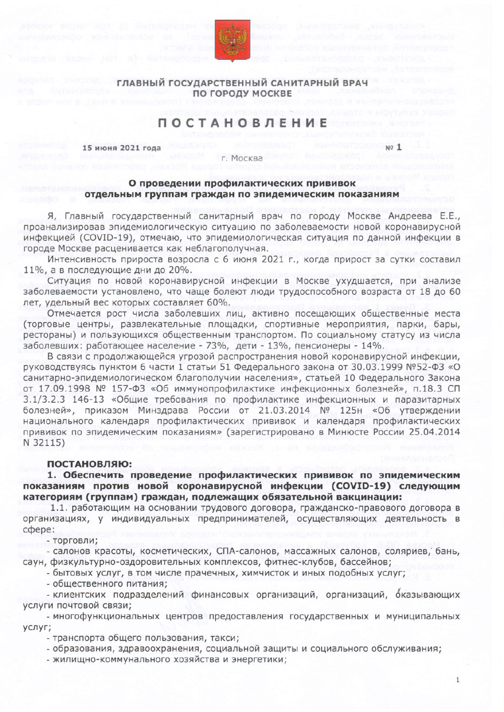

ГЛАВНЫЙ ГОСУДАРСТВЕННЫЙ САНИТАРНЫЙ ВРАЧ ПО ГОРОДУ МОСКВЕ

## **ПОСТАНОВЛЕНИЕ**

15 июня 2021 года

г. Москва

 $N<sub>0</sub>$  1

## О проведении профилактических прививок отдельным группам граждан по эпидемическим показаниям

Я, Главный государственный санитарный врач по городу Москве Андреева Е.Е., проанализировав эпидемиологическую ситуацию по заболеваемости новой коронавирусной инфекцией (COVID-19), отмечаю, что эпидемиологическая ситуация по данной инфекции в городе Москве расценивается как неблагополучная.

Интенсивность прироста возросла с 6 июня 2021 г., когда прирост за сутки составил 11%, а в последующие дни до 20%.

Ситуация по новой коронавирусной инфекции в Москве ухудшается, при анализе заболеваемости установлено, что чаще болеют люди трудоспособного возраста от 18 до 60 лет, удельный вес которых составляет 60%.

Отмечается рост числа заболевших лиц, активно посещающих общественные места (торговые центры, развлекательные площадки, спортивные мероприятия, парки, бары, рестораны) и пользующихся общественным транспортом. По социальному статусу из числа заболевших: работающее население - 73%, дети - 13%, пенсионеры - 14%.

В связи с продолжающейся угрозой распространения новой коронавирусной инфекции, руководствуясь пунктом 6 части 1 статьи 51 Федерального закона от 30.03.1999 №52-ФЗ «О санитарно-эпидемиологическом благополучии населения», статьей 10 Федерального Закона от 17.09.1998 № 157-ФЗ «Об иммунопрофилактике инфекционных болезней», п.18.3 СП 3.1/3.2.3 146-13 «Общие требования по профилактике инфекционных и паразитарных болезней», приказом Минздрава России от 21.03.2014 № 125н «Об утверждении национального календаря профилактических прививок и календаря профилактических прививок по эпидемическим показаниям» (зарегистрировано в Минюсте России 25.04.2014 N 32115)

## ПОСТАНОВЛЯЮ:

1. Обеспечить проведение профилактических прививок по эпидемическим показаниям против новой коронавирусной инфекции (COVID-19) следующим категориям (группам) граждан, подлежащих обязательной вакцинации:

1.1. работающим на основании трудового договора, гражданско-правового договора в организациях, у индивидуальных предпринимателей, осуществляющих деятельность в сфере:

- торговли;

- салонов красоты, косметических, СПА-салонов, массажных салонов, соляриев, бань, саун, физкультурно-оздоровительных комплексов, фитнес-клубов, бассейнов;

- бытовых услуг, в том числе прачечных, химчисток и иных подобных услуг;

- общественного питания;

- клиентских подразделений финансовых организаций, организаций, оказывающих услуги почтовой связи;

- многофункциональных центров предоставления государственных и муниципальных услуг;

- транспорта общего пользования, такси;

- образования, здравоохранения, социальной защиты и социального обслуживания;

- жилищно-коммунального хозяйства и энергетики;